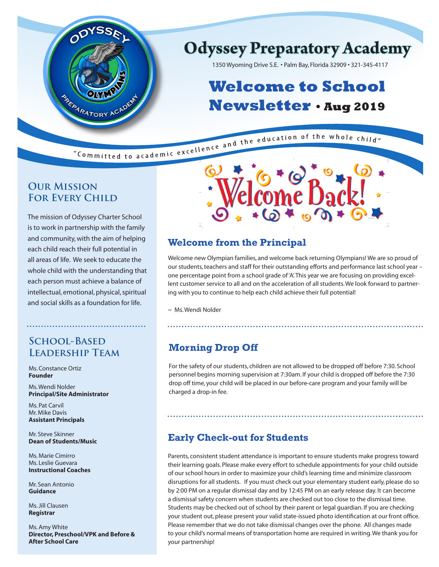# **Odyssey Preparatory Academy**

1350 Wyoming Drive S.E. • Palm Bay, Florida 32909 • 321-345-4117

# **Welcome to School Newsletter • Aug 2019**

### **Our Mission FOR EVERY CHILD**

The mission of Odyssey Charter School is to work in partnership with the family and community, with the aim of helping each child reach their full potential in all areas of life. We seek to educate the whole child with the understanding that each person must achieve a balance of intellectual, emotional, physical, spiritual and social skills as a foundation for life.

ODYSSE)

REARATORY ACADEM

### **School-Based Leadership Team**

Ms. Constance Ortiz **Founder**

Ms. Wendi Nolder **Principal/Site Administrator**

Ms. Pat Carvil Mr. Mike Davis **Assistant Principals**

Mr. Steve Skinner **Dean of Students/Music**

Ms. Marie Cimirro Ms. Leslie Guevara **Instructional Coaches**

Mr. Sean Antonio **Guidance**

Ms. Jill Clausen **Registrar**

Ms. Amy White **Director, Preschool/VPK and Before & After School Care**



### **Welcome from the Principal**

Welcome new Olympian families, and welcome back returning Olympians! We are so proud of our students, teachers and staff for their outstanding efforts and performance last school year – one percentage point from a school grade of 'A'. This year we are focusing on providing excellent customer service to all and on the acceleration of all students. We look forward to partnering with you to continue to help each child achieve their full potential!

~ Ms. Wendi Nolder

## **Morning Drop Off**

For the safety of our students, children are not allowed to be dropped off before 7:30. School personnel begins morning supervision at 7:30am. If your child is dropped off before the 7:30 drop off time, your child will be placed in our before-care program and your family will be charged a drop-in fee.

### **Early Check-out for Students**

Parents, consistent student attendance is important to ensure students make progress toward their learning goals. Please make every effort to schedule appointments for your child outside of our school hours in order to maximize your child's learning time and minimize classroom disruptions for all students. If you must check out your elementary student early, please do so by 2:00 PM on a regular dismissal day and by 12:45 PM on an early release day. It can become a dismissal safety concern when students are checked out too close to the dismissal time. Students may be checked out of school by their parent or legal guardian. If you are checking your student out, please present your valid state-issued photo identification at our front office. Please remember that we do not take dismissal changes over the phone. All changes made to your child's normal means of transportation home are required in writing. We thank you for your partnership!